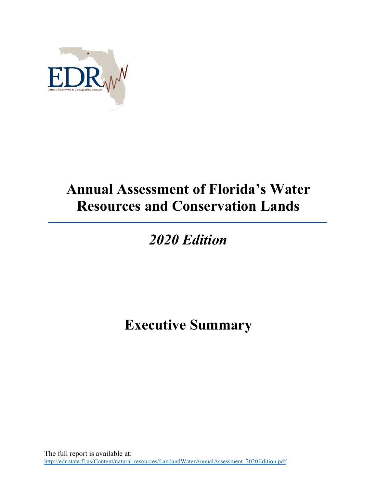

## **Annual Assessment of Florida's Water Resources and Conservation Lands**

## *2020 Edition*

## **Executive Summary**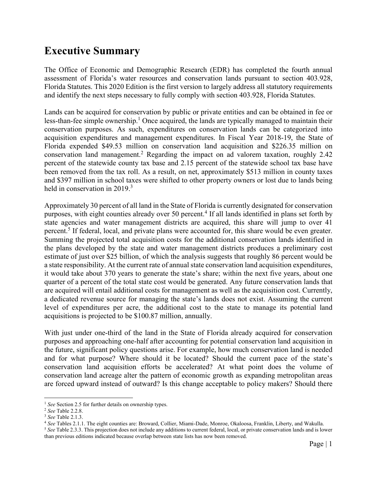## **Executive Summary**

The Office of Economic and Demographic Research (EDR) has completed the fourth annual assessment of Florida's water resources and conservation lands pursuant to section 403.928, Florida Statutes. This 2020 Edition is the first version to largely address all statutory requirements and identify the next steps necessary to fully comply with section 403.928, Florida Statutes.

Lands can be acquired for conservation by public or private entities and can be obtained in fee or less-than-fee simple ownership.<sup>1</sup> Once acquired, the lands are typically managed to maintain their conservation purposes. As such, expenditures on conservation lands can be categorized into acquisition expenditures and management expenditures. In Fiscal Year 2018-19, the State of Florida expended \$49.53 million on conservation land acquisition and \$226.35 million on conservation land management.<sup>2</sup> Regarding the impact on ad valorem taxation, roughly 2.42 percent of the statewide county tax base and 2.15 percent of the statewide school tax base have been removed from the tax roll. As a result, on net, approximately \$513 million in county taxes and \$397 million in school taxes were shifted to other property owners or lost due to lands being held in conservation in 2019.<sup>3</sup>

Approximately 30 percent of all land in the State of Florida is currently designated for conservation purposes, with eight counties already over 50 percent.<sup>4</sup> If all lands identified in plans set forth by state agencies and water management districts are acquired, this share will jump to over 41 percent.<sup>5</sup> If federal, local, and private plans were accounted for, this share would be even greater. Summing the projected total acquisition costs for the additional conservation lands identified in the plans developed by the state and water management districts produces a preliminary cost estimate of just over \$25 billion, of which the analysis suggests that roughly 86 percent would be a state responsibility. At the current rate of annual state conservation land acquisition expenditures, it would take about 370 years to generate the state's share; within the next five years, about one quarter of a percent of the total state cost would be generated. Any future conservation lands that are acquired will entail additional costs for management as well as the acquisition cost. Currently, a dedicated revenue source for managing the state's lands does not exist. Assuming the current level of expenditures per acre, the additional cost to the state to manage its potential land acquisitions is projected to be \$100.87 million, annually.

With just under one-third of the land in the State of Florida already acquired for conservation purposes and approaching one-half after accounting for potential conservation land acquisition in the future, significant policy questions arise. For example, how much conservation land is needed and for what purpose? Where should it be located? Should the current pace of the state's conservation land acquisition efforts be accelerated? At what point does the volume of conservation land acreage alter the pattern of economic growth as expanding metropolitan areas are forced upward instead of outward? Is this change acceptable to policy makers? Should there

 $\overline{a}$ 

<sup>&</sup>lt;sup>1</sup> *See* Section 2.5 for further details on ownership types.

<sup>2</sup> *See* Table 2.2.8.

<sup>3</sup> *See* Table 2.1.3.

<sup>4</sup> *See* Tables 2.1.1. The eight counties are: Broward, Collier, Miami-Dade, Monroe, Okaloosa, Franklin, Liberty, and Wakulla.

<sup>&</sup>lt;sup>5</sup> See Table 2.3.3. This projection does not include any additions to current federal, local, or private conservation lands and is lower than previous editions indicated because overlap between state lists has now been removed.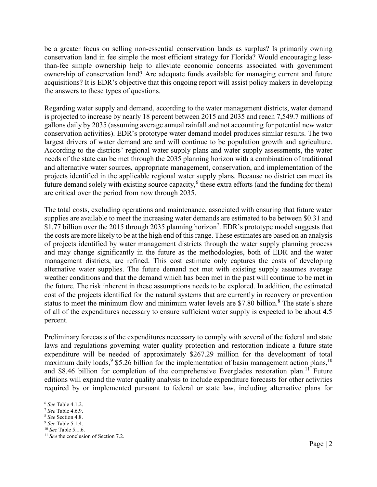be a greater focus on selling non-essential conservation lands as surplus? Is primarily owning conservation land in fee simple the most efficient strategy for Florida? Would encouraging lessthan-fee simple ownership help to alleviate economic concerns associated with government ownership of conservation land? Are adequate funds available for managing current and future acquisitions? It is EDR's objective that this ongoing report will assist policy makers in developing the answers to these types of questions.

Regarding water supply and demand, according to the water management districts, water demand is projected to increase by nearly 18 percent between 2015 and 2035 and reach 7,549.7 millions of gallons daily by 2035 (assuming average annual rainfall and not accounting for potential new water conservation activities). EDR's prototype water demand model produces similar results. The two largest drivers of water demand are and will continue to be population growth and agriculture. According to the districts' regional water supply plans and water supply assessments, the water needs of the state can be met through the 2035 planning horizon with a combination of traditional and alternative water sources, appropriate management, conservation, and implementation of the projects identified in the applicable regional water supply plans. Because no district can meet its future demand solely with existing source capacity,  $6$  these extra efforts (and the funding for them) are critical over the period from now through 2035.

The total costs, excluding operations and maintenance, associated with ensuring that future water supplies are available to meet the increasing water demands are estimated to be between \$0.31 and \$1.77 billion over the 2015 through 2035 planning horizon<sup>7</sup>. EDR's prototype model suggests that the costs are more likely to be at the high end of this range. These estimates are based on an analysis of projects identified by water management districts through the water supply planning process and may change significantly in the future as the methodologies, both of EDR and the water management districts, are refined. This cost estimate only captures the costs of developing alternative water supplies. The future demand not met with existing supply assumes average weather conditions and that the demand which has been met in the past will continue to be met in the future. The risk inherent in these assumptions needs to be explored. In addition, the estimated cost of the projects identified for the natural systems that are currently in recovery or prevention status to meet the minimum flow and minimum water levels are \$7.80 billion.<sup>8</sup> The state's share of all of the expenditures necessary to ensure sufficient water supply is expected to be about 4.5 percent.

Preliminary forecasts of the expenditures necessary to comply with several of the federal and state laws and regulations governing water quality protection and restoration indicate a future state expenditure will be needed of approximately \$267.29 million for the development of total maximum daily loads,  $9$  \$5.26 billion for the implementation of basin management action plans,  $^{10}$ and \$8.46 billion for completion of the comprehensive Everglades restoration plan.<sup>11</sup> Future editions will expand the water quality analysis to include expenditure forecasts for other activities required by or implemented pursuant to federal or state law, including alternative plans for

 $\overline{a}$ 

<sup>6</sup> *See* Table 4.1.2.

<sup>7</sup> *See* Table 4.6.9.

<sup>8</sup> *See* Section 4.8.

<sup>9</sup> *See* Table 5.1.4.

<sup>10</sup> *See* Table 5.1.6.

<sup>&</sup>lt;sup>11</sup> See the conclusion of Section 7.2.